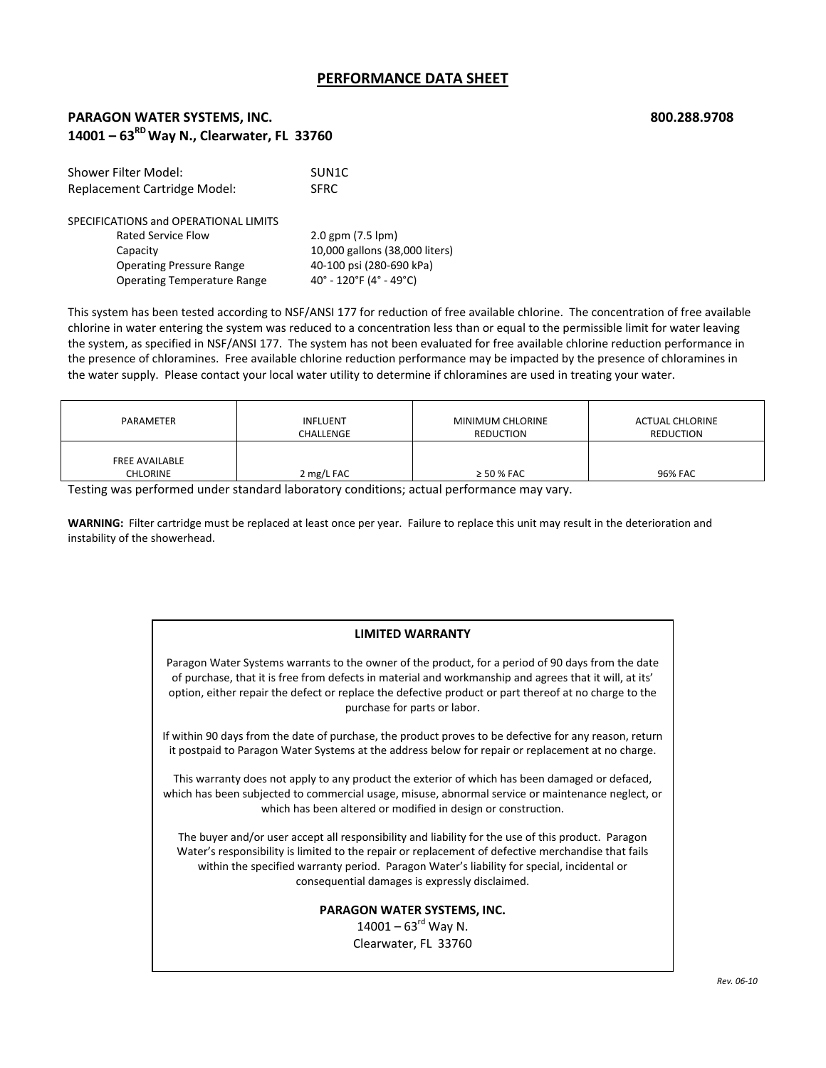## **PERFORMANCE DATA SHEET**

# **PARAGON WATER SYSTEMS, INC. 800.288.9708 14001 – 63RDWay N., Clearwater, FL 33760**

| SUN1C                            |  |
|----------------------------------|--|
| <b>SFRC</b>                      |  |
|                                  |  |
| $2.0$ gpm $(7.5$ lpm $)$         |  |
| 10,000 gallons (38,000 liters)   |  |
| 40-100 psi (280-690 kPa)         |  |
| $40^{\circ}$ - 120°F (4° - 49°C) |  |
|                                  |  |

This system has been tested according to NSF/ANSI 177 for reduction of free available chlorine. The concentration of free available chlorine in water entering the system was reduced to a concentration less than or equal to the permissible limit for water leaving the system, as specified in NSF/ANSI 177. The system has not been evaluated for free available chlorine reduction performance in the presence of chloramines. Free available chlorine reduction performance may be impacted by the presence of chloramines in the water supply. Please contact your local water utility to determine if chloramines are used in treating your water.

| PARAMETER                         | <b>INFLUENT</b> | MINIMUM CHLORINE | <b>ACTUAL CHLORINE</b> |
|-----------------------------------|-----------------|------------------|------------------------|
|                                   | CHALLENGE       | <b>REDUCTION</b> | REDUCTION              |
| <b>FREE AVAILABLE</b><br>CHLORINE | 2 mg/L FAC      | $\geq$ 50 % FAC  | 96% FAC                |

Testing was performed under standard laboratory conditions; actual performance may vary.

**WARNING:** Filter cartridge must be replaced at least once per year. Failure to replace this unit may result in the deterioration and instability of the showerhead.

### **LIMITED WARRANTY**

Paragon Water Systems warrants to the owner of the product, for a period of 90 days from the date of purchase, that it is free from defects in material and workmanship and agrees that it will, at its' option, either repair the defect or replace the defective product or part thereof at no charge to the purchase for parts or labor.

If within 90 days from the date of purchase, the product proves to be defective for any reason, return it postpaid to Paragon Water Systems at the address below for repair or replacement at no charge.

This warranty does not apply to any product the exterior of which has been damaged or defaced, which has been subjected to commercial usage, misuse, abnormal service or maintenance neglect, or which has been altered or modified in design or construction.

The buyer and/or user accept all responsibility and liability for the use of this product. Paragon Water's responsibility is limited to the repair or replacement of defective merchandise that fails within the specified warranty period. Paragon Water's liability for special, incidental or consequential damages is expressly disclaimed.

### **PARAGON WATER SYSTEMS, INC.**

 $14001 - 63$ <sup>rd</sup> Way N. Clearwater, FL 33760